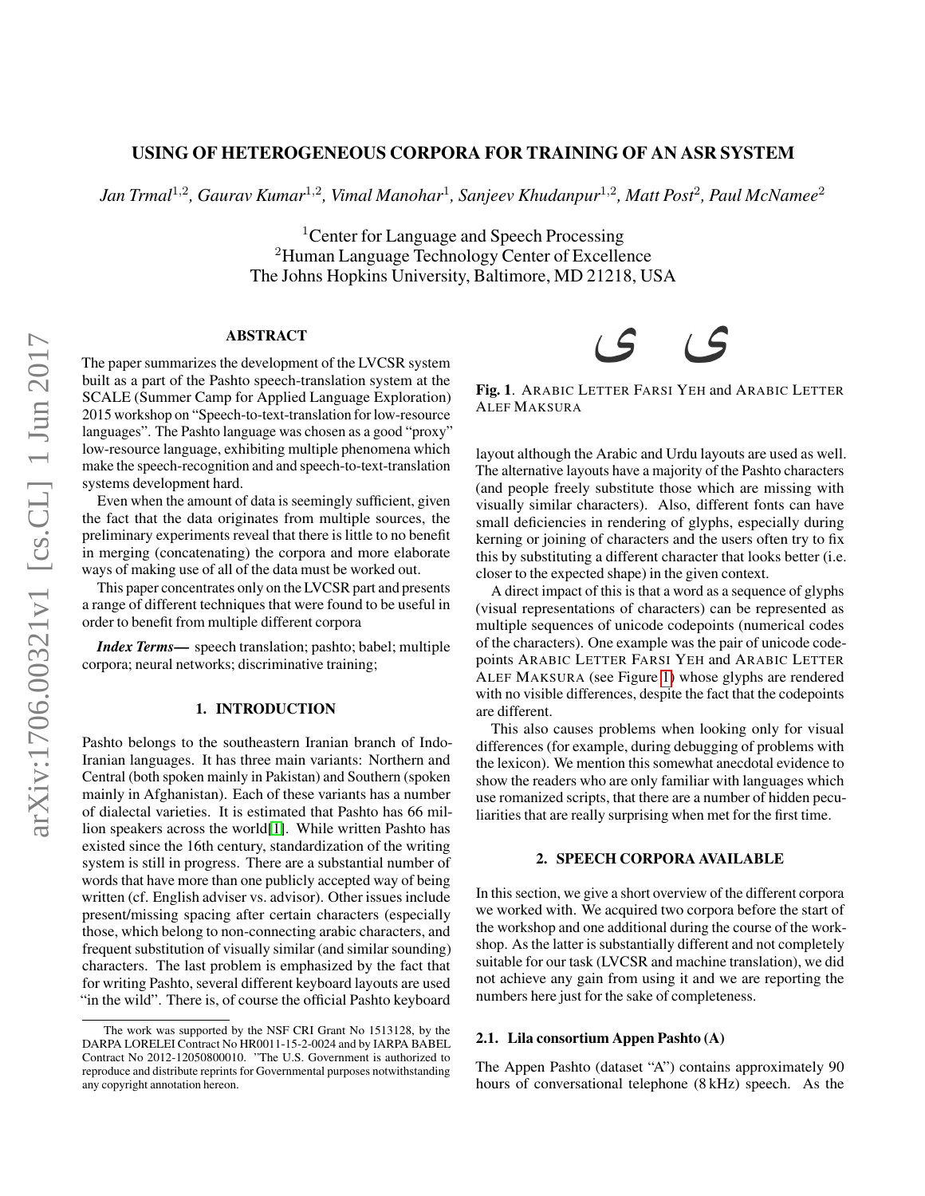## USING OF HETEROGENEOUS CORPORA FOR TRAINING OF AN ASR SYSTEM

*Jan Trmal*<sup>1</sup>,<sup>2</sup> *, Gaurav Kumar*<sup>1</sup>,<sup>2</sup> *, Vimal Manohar*<sup>1</sup> *, Sanjeev Khudanpur*<sup>1</sup>,<sup>2</sup> *, Matt Post*<sup>2</sup> *, Paul McNamee*<sup>2</sup>

<sup>1</sup> Center for Language and Speech Processing <sup>2</sup>Human Language Technology Center of Excellence The Johns Hopkins University, Baltimore, MD 21218, USA

### ABSTRACT

The paper summarizes the development of the LVCSR system built as a part of the Pashto speech-translation system at the SCALE (Summer Camp for Applied Language Exploration) 2015 workshop on "Speech-to-text-translation for low-resource languages". The Pashto language was chosen as a good "proxy" low-resource language, exhibiting multiple phenomena which make the speech-recognition and and speech-to-text-translation systems development hard.

Even when the amount of data is seemingly sufficient, given the fact that the data originates from multiple sources, the preliminary experiments reveal that there is little to no benefit in merging (concatenating) the corpora and more elaborate ways of making use of all of the data must be worked out.

This paper concentrates only on the LVCSR part and presents a range of different techniques that were found to be useful in order to benefit from multiple different corpora

*Index Terms*— speech translation; pashto; babel; multiple corpora; neural networks; discriminative training;

#### 1. INTRODUCTION

Pashto belongs to the southeastern Iranian branch of Indo-Iranian languages. It has three main variants: Northern and Central (both spoken mainly in Pakistan) and Southern (spoken mainly in Afghanistan). Each of these variants has a number of dialectal varieties. It is estimated that Pashto has 66 million speakers across the world[\[1\]](#page-4-0). While written Pashto has existed since the 16th century, standardization of the writing system is still in progress. There are a substantial number of words that have more than one publicly accepted way of being written (cf. English adviser vs. advisor). Other issues include present/missing spacing after certain characters (especially those, which belong to non-connecting arabic characters, and frequent substitution of visually similar (and similar sounding) characters. The last problem is emphasized by the fact that for writing Pashto, several different keyboard layouts are used "in the wild". There is, of course the official Pashto keyboard

# $65$  $\mathcal{S}$

<span id="page-0-0"></span>Fig. 1. ARABIC LETTER FARSI YEH and ARABIC LETTER ALEF MAKSURA

layout although the Arabic and Urdu layouts are used as well. The alternative layouts have a majority of the Pashto characters (and people freely substitute those which are missing with visually similar characters). Also, different fonts can have small deficiencies in rendering of glyphs, especially during kerning or joining of characters and the users often try to fix this by substituting a different character that looks better (i.e. closer to the expected shape) in the given context.

A direct impact of this is that a word as a sequence of glyphs (visual representations of characters) can be represented as multiple sequences of unicode codepoints (numerical codes of the characters). One example was the pair of unicode codepoints ARABIC LETTER FARSI YEH and ARABIC LETTER ALEF MAKSURA (see Figure [1\)](#page-0-0) whose glyphs are rendered with no visible differences, despite the fact that the codepoints are different.

This also causes problems when looking only for visual differences (for example, during debugging of problems with the lexicon). We mention this somewhat anecdotal evidence to show the readers who are only familiar with languages which use romanized scripts, that there are a number of hidden peculiarities that are really surprising when met for the first time.

## 2. SPEECH CORPORA AVAILABLE

In this section, we give a short overview of the different corpora we worked with. We acquired two corpora before the start of the workshop and one additional during the course of the workshop. As the latter is substantially different and not completely suitable for our task (LVCSR and machine translation), we did not achieve any gain from using it and we are reporting the numbers here just for the sake of completeness.

## 2.1. Lila consortium Appen Pashto (A)

The Appen Pashto (dataset "A") contains approximately 90 hours of conversational telephone (8 kHz) speech. As the

The work was supported by the NSF CRI Grant No 1513128, by the DARPA LORELEI Contract No HR0011-15-2-0024 and by IARPA BABEL Contract No 2012-12050800010. "The U.S. Government is authorized to reproduce and distribute reprints for Governmental purposes notwithstanding any copyright annotation hereon.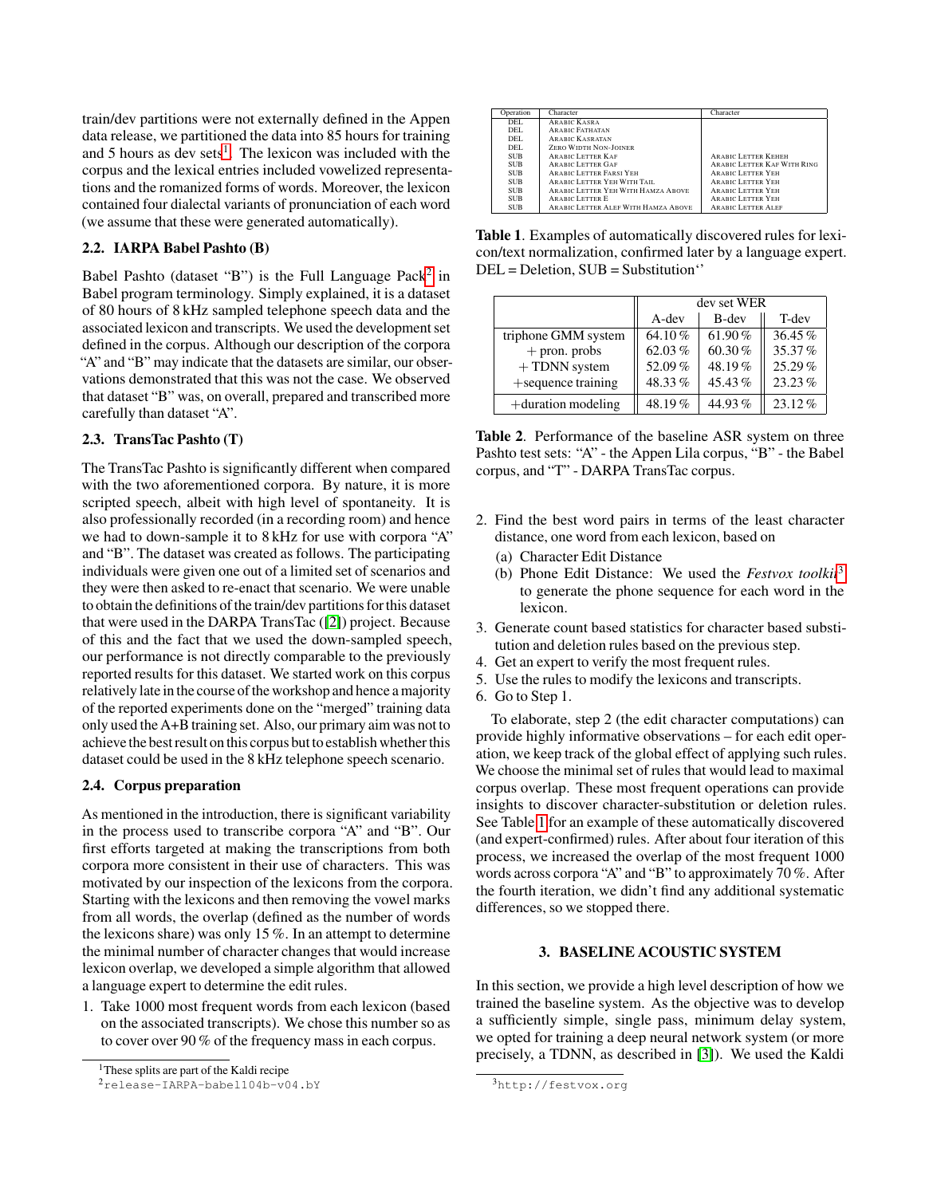train/dev partitions were not externally defined in the Appen data release, we partitioned the data into 85 hours for training and 5 hours as dev sets<sup>[1](#page-1-0)</sup>. The lexicon was included with the corpus and the lexical entries included vowelized representations and the romanized forms of words. Moreover, the lexicon contained four dialectal variants of pronunciation of each word (we assume that these were generated automatically).

## 2.2. IARPA Babel Pashto (B)

Babel Pashto (dataset "B") is the Full Language Pack<sup>[2](#page-1-1)</sup> in Babel program terminology. Simply explained, it is a dataset of 80 hours of 8 kHz sampled telephone speech data and the associated lexicon and transcripts. We used the development set defined in the corpus. Although our description of the corpora "A" and "B" may indicate that the datasets are similar, our observations demonstrated that this was not the case. We observed that dataset "B" was, on overall, prepared and transcribed more carefully than dataset "A".

## 2.3. TransTac Pashto (T)

The TransTac Pashto is significantly different when compared with the two aforementioned corpora. By nature, it is more scripted speech, albeit with high level of spontaneity. It is also professionally recorded (in a recording room) and hence we had to down-sample it to 8 kHz for use with corpora "A" and "B". The dataset was created as follows. The participating individuals were given one out of a limited set of scenarios and they were then asked to re-enact that scenario. We were unable to obtain the definitions of the train/dev partitions for this dataset that were used in the DARPA TransTac ([\[2\]](#page-4-1)) project. Because of this and the fact that we used the down-sampled speech, our performance is not directly comparable to the previously reported results for this dataset. We started work on this corpus relatively late in the course of the workshop and hence a majority of the reported experiments done on the "merged" training data only used the A+B training set. Also, our primary aim was not to achieve the best result on this corpus but to establish whether this dataset could be used in the 8 kHz telephone speech scenario.

## <span id="page-1-5"></span>2.4. Corpus preparation

As mentioned in the introduction, there is significant variability in the process used to transcribe corpora "A" and "B". Our first efforts targeted at making the transcriptions from both corpora more consistent in their use of characters. This was motivated by our inspection of the lexicons from the corpora. Starting with the lexicons and then removing the vowel marks from all words, the overlap (defined as the number of words the lexicons share) was only 15 %. In an attempt to determine the minimal number of character changes that would increase lexicon overlap, we developed a simple algorithm that allowed a language expert to determine the edit rules.

1. Take 1000 most frequent words from each lexicon (based on the associated transcripts). We chose this number so as to cover over 90 % of the frequency mass in each corpus.

| Operation  | Character                           | Character                   |
|------------|-------------------------------------|-----------------------------|
| DEL.       | <b>ARABIC KASRA</b>                 |                             |
| DEL.       | <b>ARABIC FATHATAN</b>              |                             |
| DEL.       | <b>ARABIC KASRATAN</b>              |                             |
| DEL.       | <b>ZERO WIDTH NON-JOINER</b>        |                             |
| <b>SUB</b> | <b>ARABIC LETTER KAF</b>            | <b>ARABIC LETTER KEHEH</b>  |
| <b>SUB</b> | <b>ARABIC LETTER GAF</b>            | ARABIC LETTER KAF WITH RING |
| <b>SUB</b> | <b>ARABIC LETTER FARSI YEH</b>      | <b>ARABIC LETTER YEH</b>    |
| <b>SUB</b> | ARABIC LETTER YEH WITH TAIL         | <b>ARABIC LETTER YEH</b>    |
| <b>SUB</b> | ARABIC LETTER YEH WITH HAMZA ABOVE  | <b>ARABIC LETTER YEH</b>    |
| <b>SUB</b> | <b>ARABIC LETTER E</b>              | <b>ARABIC LETTER YEH</b>    |
| <b>SUB</b> | ARABIC LETTER ALEF WITH HAMZA ABOVE | <b>ARABIC LETTER ALEF</b>   |

<span id="page-1-3"></span>Table 1. Examples of automatically discovered rules for lexicon/text normalization, confirmed later by a language expert. DEL = Deletion, SUB = Substitution''

|                       | dev set WER |           |           |
|-----------------------|-------------|-----------|-----------|
|                       | A-dev       | B-dev     | T-dev     |
| triphone GMM system   | 64.10%      | 61.90 $%$ | $36.45\%$ |
| $+$ pron. probs       | 62.03%      | 60.30%    | 35.37%    |
| $+$ TDNN system       | 52.09%      | 48.19%    | 25.29%    |
| +sequence training    | 48.33%      | 45.43%    | $23.23\%$ |
| $+$ duration modeling | 48.19%      | 44.93%    | $23.12\%$ |

<span id="page-1-4"></span>Table 2. Performance of the baseline ASR system on three Pashto test sets: "A" - the Appen Lila corpus, "B" - the Babel corpus, and "T" - DARPA TransTac corpus.

- 2. Find the best word pairs in terms of the least character distance, one word from each lexicon, based on
	- (a) Character Edit Distance
	- (b) Phone Edit Distance: We used the *Festvox toolkit*[3](#page-1-2) to generate the phone sequence for each word in the lexicon.
- 3. Generate count based statistics for character based substitution and deletion rules based on the previous step.
- 4. Get an expert to verify the most frequent rules.
- 5. Use the rules to modify the lexicons and transcripts.
- 6. Go to Step 1.

To elaborate, step 2 (the edit character computations) can provide highly informative observations – for each edit operation, we keep track of the global effect of applying such rules. We choose the minimal set of rules that would lead to maximal corpus overlap. These most frequent operations can provide insights to discover character-substitution or deletion rules. See Table [1](#page-1-3) for an example of these automatically discovered (and expert-confirmed) rules. After about four iteration of this process, we increased the overlap of the most frequent 1000 words across corpora "A" and "B" to approximately 70 %. After the fourth iteration, we didn't find any additional systematic differences, so we stopped there.

#### 3. BASELINE ACOUSTIC SYSTEM

In this section, we provide a high level description of how we trained the baseline system. As the objective was to develop a sufficiently simple, single pass, minimum delay system, we opted for training a deep neural network system (or more precisely, a TDNN, as described in [\[3\]](#page-4-2)). We used the Kaldi

<span id="page-1-0"></span><sup>1</sup>These splits are part of the Kaldi recipe

<span id="page-1-1"></span><sup>2</sup>release-IARPA-babel104b-v04.bY

<span id="page-1-2"></span><sup>3</sup>http://festvox.org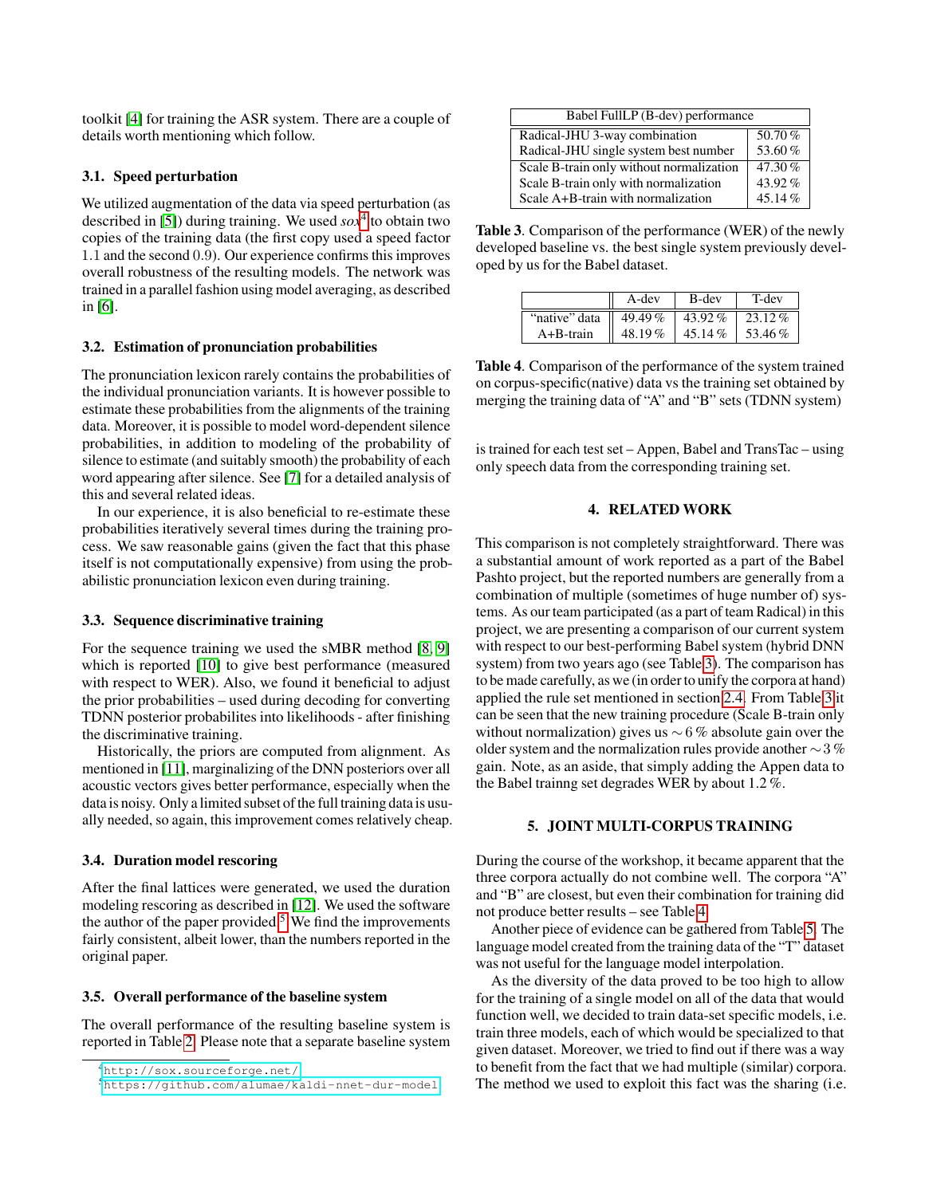toolkit [\[4\]](#page-4-3) for training the ASR system. There are a couple of details worth mentioning which follow.

## 3.1. Speed perturbation

We utilized augmentation of the data via speed perturbation (as described in [\[5\]](#page-4-4)) during training. We used *sox*[4](#page-2-0) to obtain two copies of the training data (the first copy used a speed factor 1.1 and the second 0.9). Our experience confirms this improves overall robustness of the resulting models. The network was trained in a parallel fashion using model averaging, as described in [\[6\]](#page-4-5).

#### 3.2. Estimation of pronunciation probabilities

The pronunciation lexicon rarely contains the probabilities of the individual pronunciation variants. It is however possible to estimate these probabilities from the alignments of the training data. Moreover, it is possible to model word-dependent silence probabilities, in addition to modeling of the probability of silence to estimate (and suitably smooth) the probability of each word appearing after silence. See [\[7\]](#page-4-6) for a detailed analysis of this and several related ideas.

In our experience, it is also beneficial to re-estimate these probabilities iteratively several times during the training process. We saw reasonable gains (given the fact that this phase itself is not computationally expensive) from using the probabilistic pronunciation lexicon even during training.

#### 3.3. Sequence discriminative training

For the sequence training we used the sMBR method [\[8,](#page-4-7) [9\]](#page-4-8) which is reported [\[10\]](#page-4-9) to give best performance (measured with respect to WER). Also, we found it beneficial to adjust the prior probabilities – used during decoding for converting TDNN posterior probabilites into likelihoods - after finishing the discriminative training.

Historically, the priors are computed from alignment. As mentioned in [\[11\]](#page-4-10), marginalizing of the DNN posteriors over all acoustic vectors gives better performance, especially when the data is noisy. Only a limited subset of the full training data is usually needed, so again, this improvement comes relatively cheap.

#### 3.4. Duration model rescoring

After the final lattices were generated, we used the duration modeling rescoring as described in [\[12\]](#page-4-11). We used the software the author of the paper provided.<sup>[5](#page-2-1)</sup> We find the improvements fairly consistent, albeit lower, than the numbers reported in the original paper.

## 3.5. Overall performance of the baseline system

The overall performance of the resulting baseline system is reported in Table [2.](#page-1-4) Please note that a separate baseline system

| Babel FullLP (B-dev) performance         |        |  |  |
|------------------------------------------|--------|--|--|
| Radical-JHU 3-way combination            | 50.70% |  |  |
| Radical-JHU single system best number    | 53.60% |  |  |
| Scale B-train only without normalization | 47.30% |  |  |
| Scale B-train only with normalization    | 43.92% |  |  |
| Scale A+B-train with normalization       | 45.14% |  |  |

<span id="page-2-2"></span>Table 3. Comparison of the performance (WER) of the newly developed baseline vs. the best single system previously developed by us for the Babel dataset.

|                                  | A-dev     | B-dev  | T-dev   |
|----------------------------------|-----------|--------|---------|
| "native" data $\parallel$ 49.49% |           | 43.92% | 23.12 % |
| $A + B - train$                  | 48.19 $%$ | 45.14% | 53.46%  |

<span id="page-2-3"></span>Table 4. Comparison of the performance of the system trained on corpus-specific(native) data vs the training set obtained by merging the training data of "A" and "B" sets (TDNN system)

is trained for each test set – Appen, Babel and TransTac – using only speech data from the corresponding training set.

#### 4. RELATED WORK

This comparison is not completely straightforward. There was a substantial amount of work reported as a part of the Babel Pashto project, but the reported numbers are generally from a combination of multiple (sometimes of huge number of) systems. As our team participated (as a part of team Radical) in this project, we are presenting a comparison of our current system with respect to our best-performing Babel system (hybrid DNN system) from two years ago (see Table [3\)](#page-2-2). The comparison has to be made carefully, as we (in order to unify the corpora at hand) applied the rule set mentioned in section [2.4.](#page-1-5) From Table [3](#page-2-2) it can be seen that the new training procedure (Scale B-train only without normalization) gives us  $\sim 6\%$  absolute gain over the older system and the normalization rules provide another ∼3 % gain. Note, as an aside, that simply adding the Appen data to the Babel trainng set degrades WER by about 1.2 %.

#### 5. JOINT MULTI-CORPUS TRAINING

During the course of the workshop, it became apparent that the three corpora actually do not combine well. The corpora "A" and "B" are closest, but even their combination for training did not produce better results – see Table [4.](#page-2-3)

Another piece of evidence can be gathered from Table [5.](#page-3-0) The language model created from the training data of the "T" dataset was not useful for the language model interpolation.

As the diversity of the data proved to be too high to allow for the training of a single model on all of the data that would function well, we decided to train data-set specific models, i.e. train three models, each of which would be specialized to that given dataset. Moreover, we tried to find out if there was a way to benefit from the fact that we had multiple (similar) corpora. The method we used to exploit this fact was the sharing (i.e.

<span id="page-2-0"></span><sup>4</sup><http://sox.sourceforge.net/>

<span id="page-2-1"></span><sup>5</sup><https://github.com/alumae/kaldi-nnet-dur-model>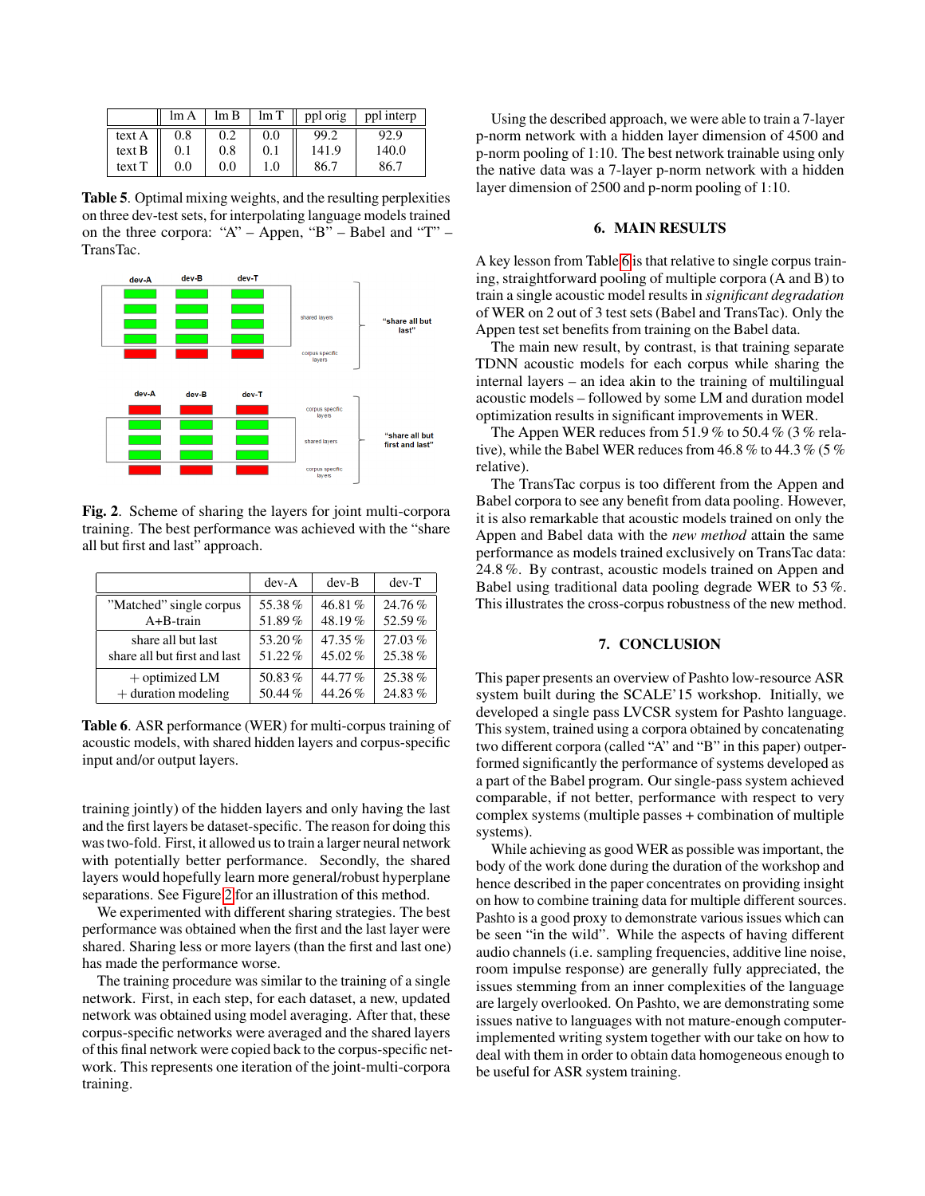|        | $\text{Im }A$ | lm B    | $\ln T$ | ppl orig | ppl interp |
|--------|---------------|---------|---------|----------|------------|
| text A | 0.8           | 0.2     | 0.0     | 99.2     | 92.9       |
| text B | 0.1           | 0.8     | 0.1     | 141.9    | 140.0      |
| text T | 0.0           | $0.0\,$ | 1.0     | 86.7     | 86.7       |

<span id="page-3-0"></span>Table 5. Optimal mixing weights, and the resulting perplexities on three dev-test sets, for interpolating language models trained on the three corpora: "A" – Appen, "B" – Babel and "T" – TransTac.



<span id="page-3-1"></span>Fig. 2. Scheme of sharing the layers for joint multi-corpora training. The best performance was achieved with the "share all but first and last" approach.

|                              | $dev-A$ | $dev-B$   | $dev-T$ |
|------------------------------|---------|-----------|---------|
| "Matched" single corpus      | 55.38%  | 46.81%    | 24.76%  |
| $A + B - train$              | 51.89%  | 48.19%    | 52.59%  |
| share all but last           | 53.20%  | $47.35\%$ | 27.03%  |
| share all but first and last | 51.22%  | 45.02%    | 25.38%  |
| $+$ optimized LM             | 50.83%  | 44.77%    | 25.38%  |
| $+$ duration modeling        | 50.44%  | 44.26%    | 24.83%  |

<span id="page-3-2"></span>Table 6. ASR performance (WER) for multi-corpus training of acoustic models, with shared hidden layers and corpus-specific input and/or output layers.

training jointly) of the hidden layers and only having the last and the first layers be dataset-specific. The reason for doing this was two-fold. First, it allowed us to train a larger neural network with potentially better performance. Secondly, the shared layers would hopefully learn more general/robust hyperplane separations. See Figure [2](#page-3-1) for an illustration of this method.

We experimented with different sharing strategies. The best performance was obtained when the first and the last layer were shared. Sharing less or more layers (than the first and last one) has made the performance worse.

The training procedure was similar to the training of a single network. First, in each step, for each dataset, a new, updated network was obtained using model averaging. After that, these corpus-specific networks were averaged and the shared layers of this final network were copied back to the corpus-specific network. This represents one iteration of the joint-multi-corpora training.

Using the described approach, we were able to train a 7-layer p-norm network with a hidden layer dimension of 4500 and p-norm pooling of 1:10. The best network trainable using only the native data was a 7-layer p-norm network with a hidden layer dimension of 2500 and p-norm pooling of 1:10.

## 6. MAIN RESULTS

A key lesson from Table [6](#page-3-2) is that relative to single corpus training, straightforward pooling of multiple corpora (A and B) to train a single acoustic model results in *significant degradation* of WER on 2 out of 3 test sets (Babel and TransTac). Only the Appen test set benefits from training on the Babel data.

The main new result, by contrast, is that training separate TDNN acoustic models for each corpus while sharing the internal layers – an idea akin to the training of multilingual acoustic models – followed by some LM and duration model optimization results in significant improvements in WER.

The Appen WER reduces from 51.9 % to 50.4 % (3 % relative), while the Babel WER reduces from 46.8 % to 44.3 % (5 % relative).

The TransTac corpus is too different from the Appen and Babel corpora to see any benefit from data pooling. However, it is also remarkable that acoustic models trained on only the Appen and Babel data with the *new method* attain the same performance as models trained exclusively on TransTac data: 24.8 %. By contrast, acoustic models trained on Appen and Babel using traditional data pooling degrade WER to 53 %. This illustrates the cross-corpus robustness of the new method.

#### 7. CONCLUSION

This paper presents an overview of Pashto low-resource ASR system built during the SCALE'15 workshop. Initially, we developed a single pass LVCSR system for Pashto language. This system, trained using a corpora obtained by concatenating two different corpora (called "A" and "B" in this paper) outperformed significantly the performance of systems developed as a part of the Babel program. Our single-pass system achieved comparable, if not better, performance with respect to very complex systems (multiple passes + combination of multiple systems).

While achieving as good WER as possible was important, the body of the work done during the duration of the workshop and hence described in the paper concentrates on providing insight on how to combine training data for multiple different sources. Pashto is a good proxy to demonstrate various issues which can be seen "in the wild". While the aspects of having different audio channels (i.e. sampling frequencies, additive line noise, room impulse response) are generally fully appreciated, the issues stemming from an inner complexities of the language are largely overlooked. On Pashto, we are demonstrating some issues native to languages with not mature-enough computerimplemented writing system together with our take on how to deal with them in order to obtain data homogeneous enough to be useful for ASR system training.